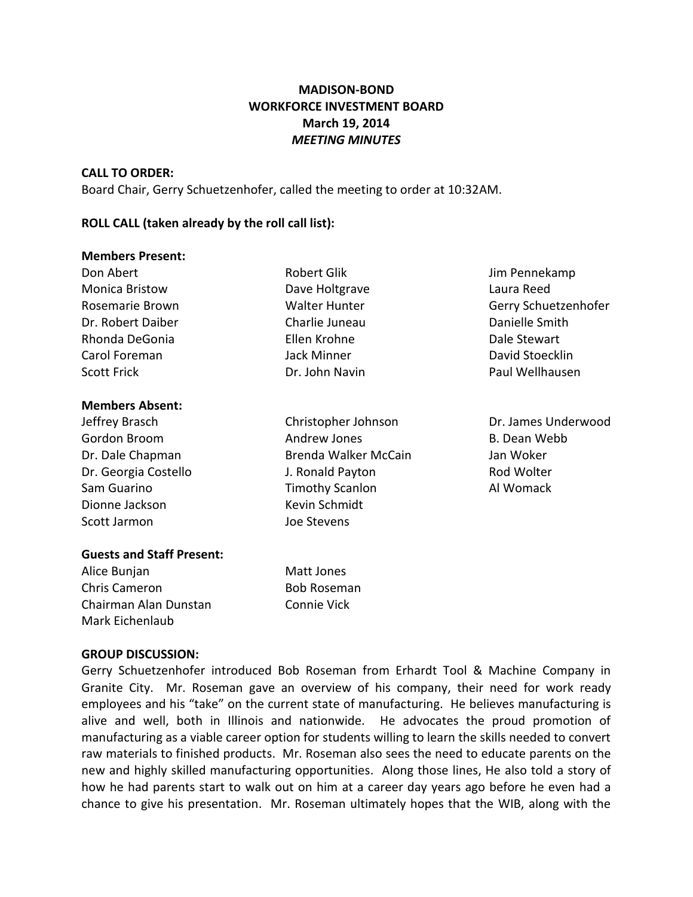# **MADISON-BOND WORKFORCE INVESTMENT BOARD March 19, 2014** *MEETING MINUTES*

### **CALL TO ORDER:**

Board Chair, Gerry Schuetzenhofer, called the meeting to order at 10:32AM.

## **ROLL CALL (taken already by the roll call list):**

#### **Members Present:**

| Don Abert              | <b>Robert Glik</b>   | Jim Pennekamp        |
|------------------------|----------------------|----------------------|
| <b>Monica Bristow</b>  | Dave Holtgrave       | Laura Reed           |
| Rosemarie Brown        | <b>Walter Hunter</b> | Gerry Schuetzenhofer |
| Dr. Robert Daiber      | Charlie Juneau       | Danielle Smith       |
| Rhonda DeGonia         | Ellen Krohne         | Dale Stewart         |
| Carol Foreman          | Jack Minner          | David Stoecklin      |
| <b>Scott Frick</b>     | Dr. John Navin       | Paul Wellhausen      |
| <b>Members Absent:</b> |                      |                      |
| Jeffrey Brasch         | Christopher Johnson  | Dr. James Underwood  |
| Gordon Broom           | Andrew Jones         | B. Dean Webb         |

| Dr. Dale Chapman     | Brenda Walker McCain   | Jan Woker  |
|----------------------|------------------------|------------|
| Dr. Georgia Costello | J. Ronald Payton       | Rod Wolter |
| Sam Guarino          | <b>Timothy Scanlon</b> | Al Womack  |
| Dionne Jackson       | Kevin Schmidt          |            |
| Scott Jarmon         | Joe Stevens            |            |

## **Guests and Staff Present:**

Alice Bunjan Matt Jones Chris Cameron **Bob Roseman** Chairman Alan Dunstan Connie Vick Mark Eichenlaub

## **GROUP DISCUSSION:**

Gerry Schuetzenhofer introduced Bob Roseman from Erhardt Tool & Machine Company in Granite City. Mr. Roseman gave an overview of his company, their need for work ready employees and his "take" on the current state of manufacturing. He believes manufacturing is alive and well, both in Illinois and nationwide. He advocates the proud promotion of manufacturing as a viable career option for students willing to learn the skills needed to convert raw materials to finished products. Mr. Roseman also sees the need to educate parents on the new and highly skilled manufacturing opportunities. Along those lines, He also told a story of how he had parents start to walk out on him at a career day years ago before he even had a chance to give his presentation. Mr. Roseman ultimately hopes that the WIB, along with the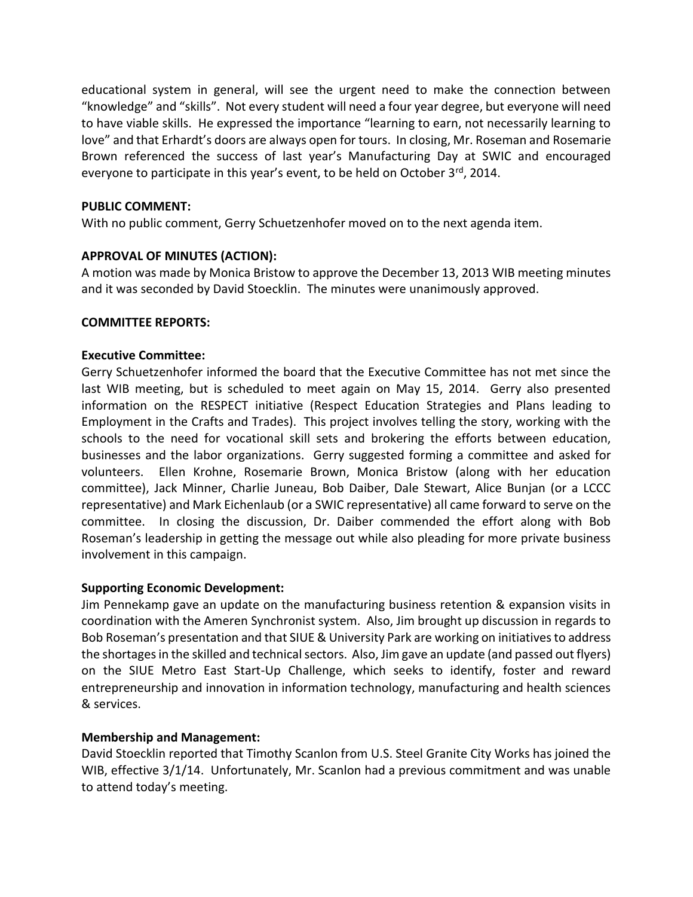educational system in general, will see the urgent need to make the connection between "knowledge" and "skills". Not every student will need a four year degree, but everyone will need to have viable skills. He expressed the importance "learning to earn, not necessarily learning to love" and that Erhardt's doors are always open for tours. In closing, Mr. Roseman and Rosemarie Brown referenced the success of last year's Manufacturing Day at SWIC and encouraged everyone to participate in this year's event, to be held on October 3rd, 2014.

## **PUBLIC COMMENT:**

With no public comment, Gerry Schuetzenhofer moved on to the next agenda item.

# **APPROVAL OF MINUTES (ACTION):**

A motion was made by Monica Bristow to approve the December 13, 2013 WIB meeting minutes and it was seconded by David Stoecklin. The minutes were unanimously approved.

## **COMMITTEE REPORTS:**

# **Executive Committee:**

Gerry Schuetzenhofer informed the board that the Executive Committee has not met since the last WIB meeting, but is scheduled to meet again on May 15, 2014. Gerry also presented information on the RESPECT initiative (Respect Education Strategies and Plans leading to Employment in the Crafts and Trades). This project involves telling the story, working with the schools to the need for vocational skill sets and brokering the efforts between education, businesses and the labor organizations. Gerry suggested forming a committee and asked for volunteers. Ellen Krohne, Rosemarie Brown, Monica Bristow (along with her education committee), Jack Minner, Charlie Juneau, Bob Daiber, Dale Stewart, Alice Bunjan (or a LCCC representative) and Mark Eichenlaub (or a SWIC representative) all came forward to serve on the committee. In closing the discussion, Dr. Daiber commended the effort along with Bob Roseman's leadership in getting the message out while also pleading for more private business involvement in this campaign.

## **Supporting Economic Development:**

Jim Pennekamp gave an update on the manufacturing business retention & expansion visits in coordination with the Ameren Synchronist system. Also, Jim brought up discussion in regards to Bob Roseman's presentation and that SIUE & University Park are working on initiatives to address the shortages in the skilled and technical sectors. Also, Jim gave an update (and passed out flyers) on the SIUE Metro East Start-Up Challenge, which seeks to identify, foster and reward entrepreneurship and innovation in information technology, manufacturing and health sciences & services.

# **Membership and Management:**

David Stoecklin reported that Timothy Scanlon from U.S. Steel Granite City Works has joined the WIB, effective 3/1/14. Unfortunately, Mr. Scanlon had a previous commitment and was unable to attend today's meeting.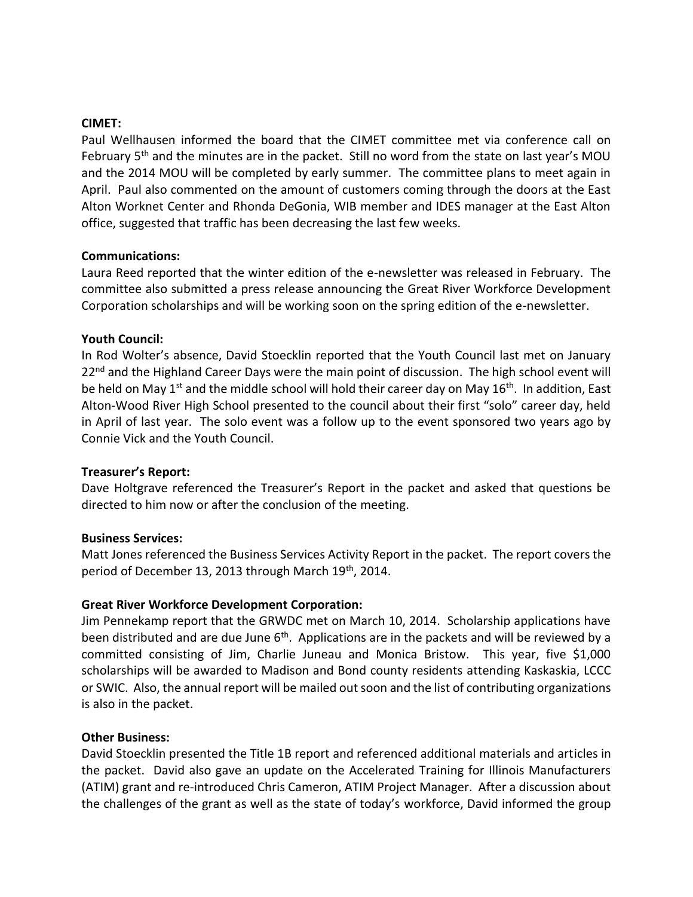### **CIMET:**

Paul Wellhausen informed the board that the CIMET committee met via conference call on February 5<sup>th</sup> and the minutes are in the packet. Still no word from the state on last year's MOU and the 2014 MOU will be completed by early summer. The committee plans to meet again in April. Paul also commented on the amount of customers coming through the doors at the East Alton Worknet Center and Rhonda DeGonia, WIB member and IDES manager at the East Alton office, suggested that traffic has been decreasing the last few weeks.

## **Communications:**

Laura Reed reported that the winter edition of the e-newsletter was released in February. The committee also submitted a press release announcing the Great River Workforce Development Corporation scholarships and will be working soon on the spring edition of the e-newsletter.

## **Youth Council:**

In Rod Wolter's absence, David Stoecklin reported that the Youth Council last met on January  $22<sup>nd</sup>$  and the Highland Career Days were the main point of discussion. The high school event will be held on May 1<sup>st</sup> and the middle school will hold their career day on May 16<sup>th</sup>. In addition, East Alton-Wood River High School presented to the council about their first "solo" career day, held in April of last year. The solo event was a follow up to the event sponsored two years ago by Connie Vick and the Youth Council.

### **Treasurer's Report:**

Dave Holtgrave referenced the Treasurer's Report in the packet and asked that questions be directed to him now or after the conclusion of the meeting.

### **Business Services:**

Matt Jones referenced the Business Services Activity Report in the packet. The report covers the period of December 13, 2013 through March 19<sup>th</sup>, 2014.

## **Great River Workforce Development Corporation:**

Jim Pennekamp report that the GRWDC met on March 10, 2014. Scholarship applications have been distributed and are due June 6<sup>th</sup>. Applications are in the packets and will be reviewed by a committed consisting of Jim, Charlie Juneau and Monica Bristow. This year, five \$1,000 scholarships will be awarded to Madison and Bond county residents attending Kaskaskia, LCCC or SWIC. Also, the annual report will be mailed out soon and the list of contributing organizations is also in the packet.

### **Other Business:**

David Stoecklin presented the Title 1B report and referenced additional materials and articles in the packet. David also gave an update on the Accelerated Training for Illinois Manufacturers (ATIM) grant and re-introduced Chris Cameron, ATIM Project Manager. After a discussion about the challenges of the grant as well as the state of today's workforce, David informed the group